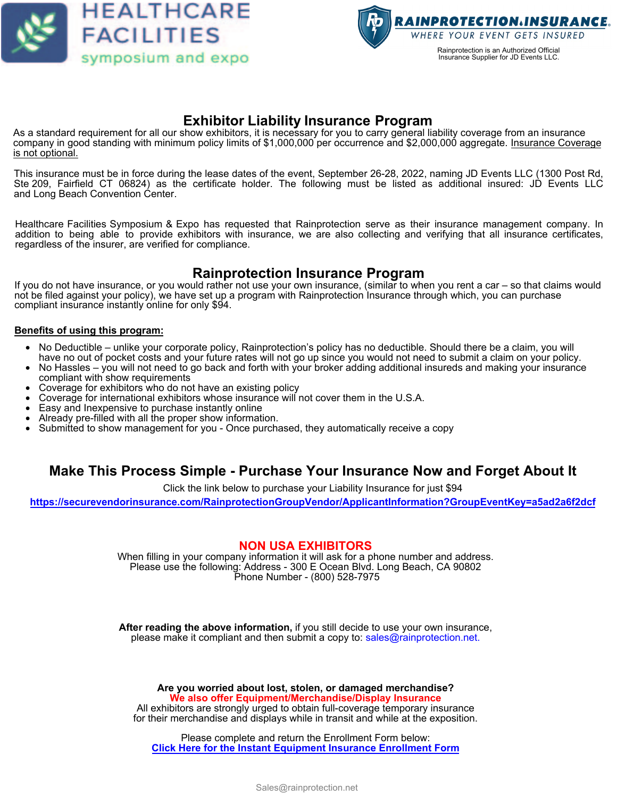



## **Exhibitor Liability Insurance Program**

As a standard requirement for all our show exhibitors, it is necessary for you to carry general liability coverage from an insurance company in good standing with minimum policy limits of \$1,000,000 per occurrence and \$2,000,000 aggregate. <u>Insurance Coverage</u> is not optional.

This insurance must be in force during the lease dates of the event, September 26-28, 2022, naming JD Events LLC (1300 Post Rd, Ste 209, Fairfield CT 06824) as the certificate holder. The following must be listed as additional insured: JD Events LLC and Long Beach Convention Center.

Healthcare Facilities Symposium & Expo has requested that Rainprotection serve as their insurance management company. In addition to being able to provide exhibitors with insurance, we are also collecting and verifying that all insurance certificates, regardless of the insurer, are verified for compliance.

# **Rainprotection Insurance Program**

If you do not have insurance, or you would rather not use your own insurance, (similar to when you rent a car – so that claims would not be filed against your policy), we have set up a program with Rainprotection Insurance through which, you can purchase compliant insurance instantly online for only \$94.

#### **Benefits of using this program:**

- No Deductible unlike your corporate policy, Rainprotection's policy has no deductible. Should there be a claim, you will have no out of pocket costs and your future rates will not go up since you would not need to submit a claim on your policy.
- No Hassles you will not need to go back and forth with your broker adding additional insureds and making your insurance compliant with show requirements
- Coverage for exhibitors who do not have an existing policy
- Coverage for international exhibitors whose insurance will not cover them in the U.S.A.
- Easy and Inexpensive to purchase instantly online
- Already pre-filled with all the proper show information.
- Submitted to show management for you Once purchased, they automatically receive a copy

## **Make This Process Simple - Purchase Your Insurance Now and Forget About It**

Click the link below to purchase your Liability Insurance for just \$94

**<https://securevendorinsurance.com/RainprotectionGroupVendor/ApplicantInformation?GroupEventKey=a5ad2a6f2dcf>**

### **NON USA EXHIBITORS**

When filling in your company information it will ask for a phone number and address. Please use the following: Address - 300 E Ocean Blvd. Long Beach, CA 90802 Phone Number - (800) 528-7975

**After reading the above information,** if you still decide to use your own insurance, please make it compliant and then submit a copy to: sales@rainprotection.net.

**Are you worried about lost, stolen, or damaged merchandise? We also offer Equipment/Merchandise/Display Insurance**

All exhibitors are strongly urged to obtain full-coverage temporary insurance for their merchandise and displays while in transit and while at the exposition.

Please complete and return the Enrollment Form below: **[Click Here for the Instant Equipment Insurance Enrollment Form](https://www.rainprotection.net/exhibitors-vendors/equipment-insurance-for-exhibitors-and-vendors-short-term-or-long-term-coverage-available)**